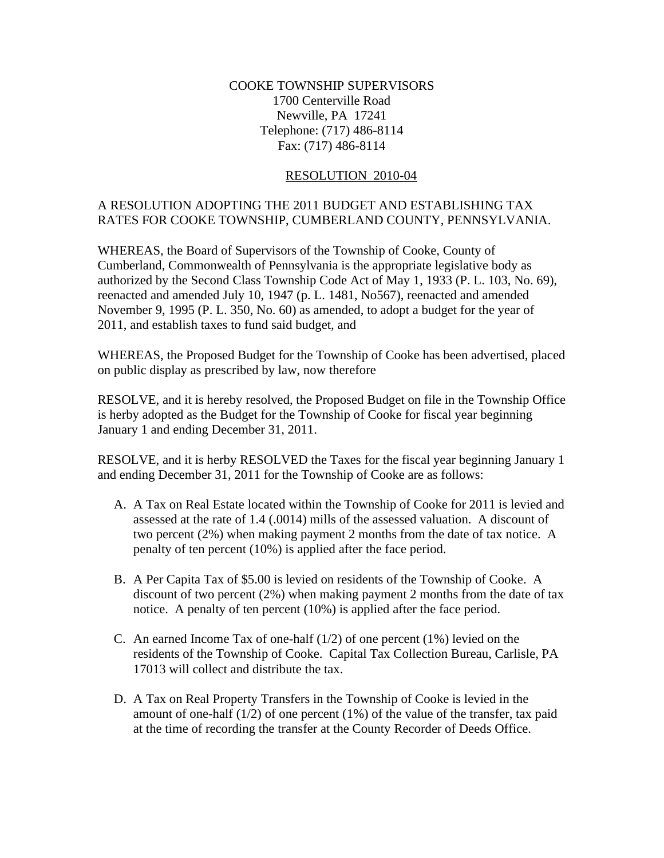## COOKE TOWNSHIP SUPERVISORS 1700 Centerville Road Newville, PA 17241 Telephone: (717) 486-8114 Fax: (717) 486-8114

## RESOLUTION 2010-04

## A RESOLUTION ADOPTING THE 2011 BUDGET AND ESTABLISHING TAX RATES FOR COOKE TOWNSHIP, CUMBERLAND COUNTY, PENNSYLVANIA.

WHEREAS, the Board of Supervisors of the Township of Cooke, County of Cumberland, Commonwealth of Pennsylvania is the appropriate legislative body as authorized by the Second Class Township Code Act of May 1, 1933 (P. L. 103, No. 69), reenacted and amended July 10, 1947 (p. L. 1481, No567), reenacted and amended November 9, 1995 (P. L. 350, No. 60) as amended, to adopt a budget for the year of 2011, and establish taxes to fund said budget, and

WHEREAS, the Proposed Budget for the Township of Cooke has been advertised, placed on public display as prescribed by law, now therefore

RESOLVE, and it is hereby resolved, the Proposed Budget on file in the Township Office is herby adopted as the Budget for the Township of Cooke for fiscal year beginning January 1 and ending December 31, 2011.

RESOLVE, and it is herby RESOLVED the Taxes for the fiscal year beginning January 1 and ending December 31, 2011 for the Township of Cooke are as follows:

- A. A Tax on Real Estate located within the Township of Cooke for 2011 is levied and assessed at the rate of 1.4 (.0014) mills of the assessed valuation. A discount of two percent (2%) when making payment 2 months from the date of tax notice. A penalty of ten percent (10%) is applied after the face period.
- B. A Per Capita Tax of \$5.00 is levied on residents of the Township of Cooke. A discount of two percent (2%) when making payment 2 months from the date of tax notice. A penalty of ten percent (10%) is applied after the face period.
- C. An earned Income Tax of one-half  $(1/2)$  of one percent  $(1%)$  levied on the residents of the Township of Cooke. Capital Tax Collection Bureau, Carlisle, PA 17013 will collect and distribute the tax.
- D. A Tax on Real Property Transfers in the Township of Cooke is levied in the amount of one-half  $(1/2)$  of one percent  $(1%)$  of the value of the transfer, tax paid at the time of recording the transfer at the County Recorder of Deeds Office.